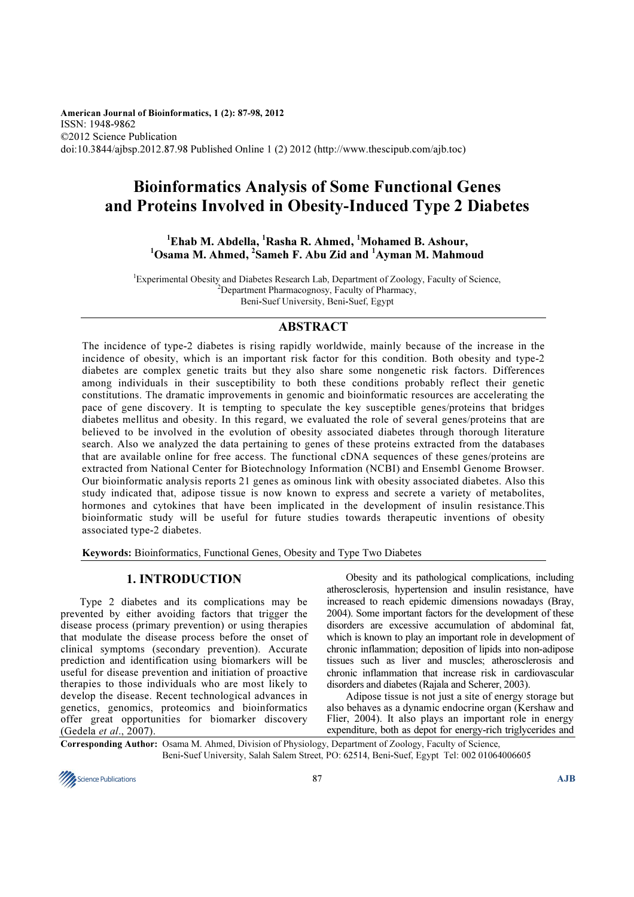American Journal of Bioinformatics, 1 (2): 87-98, 2012 ISSN: 1948-9862 ©2012 Science Publication doi:10.3844/ajbsp.2012.87.98 Published Online 1 (2) 2012 (http://www.thescipub.com/ajb.toc)

# Bioinformatics Analysis of Some Functional Genes and Proteins Involved in Obesity-Induced Type 2 Diabetes

 $1$ Ehab M. Abdella,  $1$ Rasha R. Ahmed,  $1$ Mohamed B. Ashour,  $1$ Osama M. Ahmed,  $2$ Sameh F. Abu Zid and  $1$ Ayman M. Mahmoud

<sup>1</sup>Experimental Obesity and Diabetes Research Lab, Department of Zoology, Faculty of Science, <sup>2</sup>Department Pharmacognosy, Faculty of Pharmacy, Beni-Suef University, Beni-Suef, Egypt

### ABSTRACT

The incidence of type-2 diabetes is rising rapidly worldwide, mainly because of the increase in the incidence of obesity, which is an important risk factor for this condition. Both obesity and type-2 diabetes are complex genetic traits but they also share some nongenetic risk factors. Differences among individuals in their susceptibility to both these conditions probably reflect their genetic constitutions. The dramatic improvements in genomic and bioinformatic resources are accelerating the pace of gene discovery. It is tempting to speculate the key susceptible genes/proteins that bridges diabetes mellitus and obesity. In this regard, we evaluated the role of several genes/proteins that are believed to be involved in the evolution of obesity associated diabetes through thorough literature search. Also we analyzed the data pertaining to genes of these proteins extracted from the databases that are available online for free access. The functional cDNA sequences of these genes/proteins are extracted from National Center for Biotechnology Information (NCBI) and Ensembl Genome Browser. Our bioinformatic analysis reports 21 genes as ominous link with obesity associated diabetes. Also this study indicated that, adipose tissue is now known to express and secrete a variety of metabolites, hormones and cytokines that have been implicated in the development of insulin resistance.This bioinformatic study will be useful for future studies towards therapeutic inventions of obesity associated type-2 diabetes.

Keywords: Bioinformatics, Functional Genes, Obesity and Type Two Diabetes

### 1. INTRODUCTION

 Type 2 diabetes and its complications may be prevented by either avoiding factors that trigger the disease process (primary prevention) or using therapies that modulate the disease process before the onset of clinical symptoms (secondary prevention). Accurate prediction and identification using biomarkers will be useful for disease prevention and initiation of proactive therapies to those individuals who are most likely to develop the disease. Recent technological advances in genetics, genomics, proteomics and bioinformatics offer great opportunities for biomarker discovery (Gedela et al., 2007).

 Obesity and its pathological complications, including atherosclerosis, hypertension and insulin resistance, have increased to reach epidemic dimensions nowadays (Bray, 2004). Some important factors for the development of these disorders are excessive accumulation of abdominal fat, which is known to play an important role in development of chronic inflammation; deposition of lipids into non-adipose tissues such as liver and muscles; atherosclerosis and chronic inflammation that increase risk in cardiovascular disorders and diabetes (Rajala and Scherer, 2003).

 Adipose tissue is not just a site of energy storage but also behaves as a dynamic endocrine organ (Kershaw and Flier, 2004). It also plays an important role in energy expenditure, both as depot for energy-rich triglycerides and

Corresponding Author: Osama M. Ahmed, Division of Physiology, Department of Zoology, Faculty of Science, Beni-Suef University, Salah Salem Street, PO: 62514, Beni-Suef, Egypt Tel: 002 01064006605

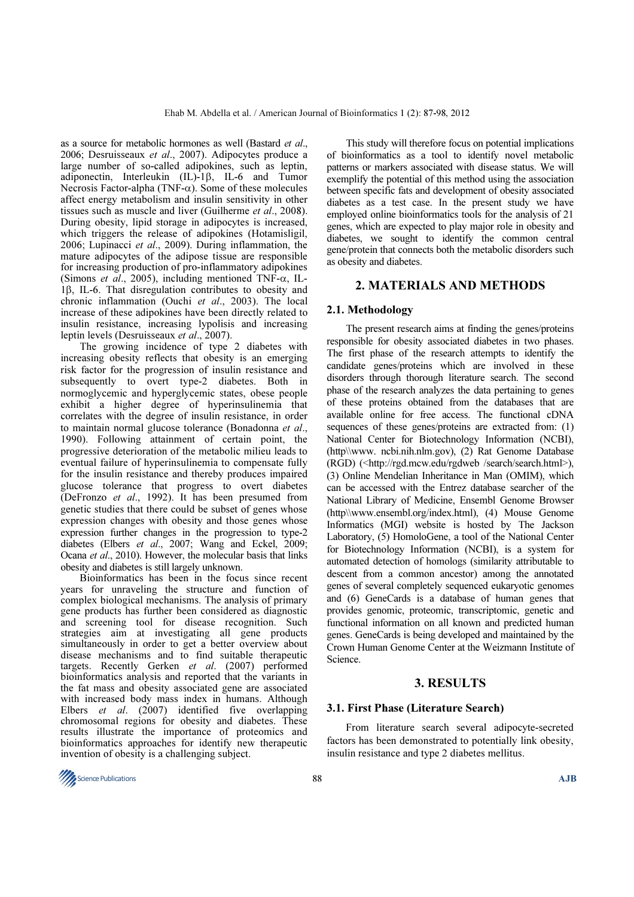as a source for metabolic hormones as well (Bastard et al., 2006; Desruisseaux et al., 2007). Adipocytes produce a large number of so-called adipokines, such as leptin, adiponectin, Interleukin (IL)-1β, IL-6 and Tumor Necrosis Factor-alpha (TNF- $\alpha$ ). Some of these molecules affect energy metabolism and insulin sensitivity in other tissues such as muscle and liver (Guilherme *et al.*, 2008). During obesity, lipid storage in adipocytes is increased, which triggers the release of adipokines (Hotamisligil, 2006; Lupinacci et al., 2009). During inflammation, the mature adipocytes of the adipose tissue are responsible for increasing production of pro-inflammatory adipokines (Simons *et al.*, 2005), including mentioned TNF- $\alpha$ , IL-1β, IL-6. That disregulation contributes to obesity and chronic inflammation (Ouchi et al., 2003). The local increase of these adipokines have been directly related to insulin resistance, increasing lypolisis and increasing leptin levels (Desruisseaux et al., 2007).

 The growing incidence of type 2 diabetes with increasing obesity reflects that obesity is an emerging risk factor for the progression of insulin resistance and subsequently to overt type-2 diabetes. Both in normoglycemic and hyperglycemic states, obese people exhibit a higher degree of hyperinsulinemia that correlates with the degree of insulin resistance, in order to maintain normal glucose tolerance (Bonadonna et al., 1990). Following attainment of certain point, the progressive deterioration of the metabolic milieu leads to eventual failure of hyperinsulinemia to compensate fully for the insulin resistance and thereby produces impaired glucose tolerance that progress to overt diabetes (DeFronzo et al., 1992). It has been presumed from genetic studies that there could be subset of genes whose expression changes with obesity and those genes whose expression further changes in the progression to type-2 diabetes (Elbers et al., 2007; Wang and Eckel, 2009; Ocana et al., 2010). However, the molecular basis that links obesity and diabetes is still largely unknown.

 Bioinformatics has been in the focus since recent years for unraveling the structure and function of complex biological mechanisms. The analysis of primary gene products has further been considered as diagnostic and screening tool for disease recognition. Such strategies aim at investigating all gene products simultaneously in order to get a better overview about disease mechanisms and to find suitable therapeutic targets. Recently Gerken et al. (2007) performed bioinformatics analysis and reported that the variants in the fat mass and obesity associated gene are associated with increased body mass index in humans. Although Elbers et al.  $(2007)$  identified five overlapping chromosomal regions for obesity and diabetes. These results illustrate the importance of proteomics and bioinformatics approaches for identify new therapeutic invention of obesity is a challenging subject.

 This study will therefore focus on potential implications of bioinformatics as a tool to identify novel metabolic patterns or markers associated with disease status. We will exemplify the potential of this method using the association between specific fats and development of obesity associated diabetes as a test case. In the present study we have employed online bioinformatics tools for the analysis of 21 genes, which are expected to play major role in obesity and diabetes, we sought to identify the common central gene/protein that connects both the metabolic disorders such as obesity and diabetes.

### 2. MATERIALS AND METHODS

#### 2.1. Methodology

The present research aims at finding the genes/proteins responsible for obesity associated diabetes in two phases. The first phase of the research attempts to identify the candidate genes/proteins which are involved in these disorders through thorough literature search. The second phase of the research analyzes the data pertaining to genes of these proteins obtained from the databases that are available online for free access. The functional cDNA sequences of these genes/proteins are extracted from: (1) National Center for Biotechnology Information (NCBI), (http\\www. ncbi.nih.nlm.gov), (2) Rat Genome Database (RGD) (<http://rgd.mcw.edu/rgdweb /search/search.html>), (3) Online Mendelian Inheritance in Man (OMIM), which can be accessed with the Entrez database searcher of the National Library of Medicine, Ensembl Genome Browser (http\\www.ensembl.org/index.html), (4) Mouse Genome Informatics (MGI) website is hosted by The Jackson Laboratory, (5) HomoloGene, a tool of the National Center for Biotechnology Information (NCBI), is a system for automated detection of homologs (similarity attributable to descent from a common ancestor) among the annotated genes of several completely sequenced eukaryotic genomes and (6) GeneCards is a database of human genes that provides genomic, proteomic, transcriptomic, genetic and functional information on all known and predicted human genes. GeneCards is being developed and maintained by the Crown Human Genome Center at the Weizmann Institute of Science.

#### 3. RESULTS

#### 3.1. First Phase (Literature Search)

From literature search several adipocyte-secreted factors has been demonstrated to potentially link obesity, insulin resistance and type 2 diabetes mellitus.

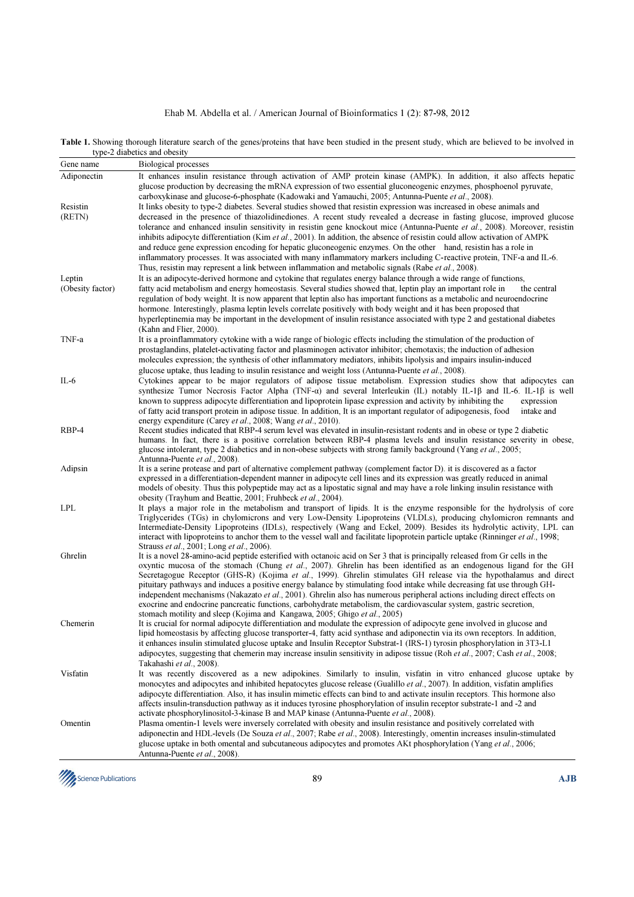### Ehab M. Abdella et al. / American Journal of Bioinformatics 1 (2): 87-98, 2012

Table 1. Showing thorough literature search of the genes/proteins that have been studied in the present study, which are believed to be involved in type-2 diabetics and obesity

| Gene name        | Biological processes                                                                                                                                                                                                                                                                                                                                                                                                                                                                                                                                                                                                                                                                                                                                                                                                                 |  |  |  |  |  |  |
|------------------|--------------------------------------------------------------------------------------------------------------------------------------------------------------------------------------------------------------------------------------------------------------------------------------------------------------------------------------------------------------------------------------------------------------------------------------------------------------------------------------------------------------------------------------------------------------------------------------------------------------------------------------------------------------------------------------------------------------------------------------------------------------------------------------------------------------------------------------|--|--|--|--|--|--|
| Adiponectin      | It enhances insulin resistance through activation of AMP protein kinase (AMPK). In addition, it also affects hepatic<br>glucose production by decreasing the mRNA expression of two essential gluconeogenic enzymes, phosphoenol pyruvate,<br>carboxykinase and glucose-6-phosphate (Kadowaki and Yamauchi, 2005; Antunna-Puente <i>et al.</i> , 2008).                                                                                                                                                                                                                                                                                                                                                                                                                                                                              |  |  |  |  |  |  |
| Resistin         | It links obesity to type-2 diabetes. Several studies showed that resistin expression was increased in obese animals and                                                                                                                                                                                                                                                                                                                                                                                                                                                                                                                                                                                                                                                                                                              |  |  |  |  |  |  |
| (RETN)           | decreased in the presence of thiazolidinediones. A recent study revealed a decrease in fasting glucose, improved glucose<br>tolerance and enhanced insulin sensitivity in resistin gene knockout mice (Antunna-Puente et al., 2008). Moreover, resistin<br>inhibits adipocyte differentiation (Kim et al., 2001). In addition, the absence of resistin could allow activation of AMPK<br>and reduce gene expression encoding for hepatic gluconeogenic enzymes. On the other hand, resistin has a role in                                                                                                                                                                                                                                                                                                                            |  |  |  |  |  |  |
|                  | inflammatory processes. It was associated with many inflammatory markers including C-reactive protein, TNF-a and IL-6.<br>Thus, resistin may represent a link between inflammation and metabolic signals (Rabe <i>et al.</i> , 2008).                                                                                                                                                                                                                                                                                                                                                                                                                                                                                                                                                                                                |  |  |  |  |  |  |
| Leptin           | It is an adipocyte-derived hormone and cytokine that regulates energy balance through a wide range of functions,                                                                                                                                                                                                                                                                                                                                                                                                                                                                                                                                                                                                                                                                                                                     |  |  |  |  |  |  |
| (Obesity factor) | fatty acid metabolism and energy homeostasis. Several studies showed that, leptin play an important role in<br>the central<br>regulation of body weight. It is now apparent that leptin also has important functions as a metabolic and neuroendocrine<br>hormone. Interestingly, plasma leptin levels correlate positively with body weight and it has been proposed that<br>hyperleptinemia may be important in the development of insulin resistance associated with type 2 and gestational diabetes<br>(Kahn and Flier, 2000).                                                                                                                                                                                                                                                                                                   |  |  |  |  |  |  |
| TNF-a            | It is a proinflammatory cytokine with a wide range of biologic effects including the stimulation of the production of                                                                                                                                                                                                                                                                                                                                                                                                                                                                                                                                                                                                                                                                                                                |  |  |  |  |  |  |
|                  | prostaglandins, platelet-activating factor and plasminogen activator inhibitor; chemotaxis; the induction of adhesion<br>molecules expression; the synthesis of other inflammatory mediators, inhibits lipolysis and impairs insulin-induced                                                                                                                                                                                                                                                                                                                                                                                                                                                                                                                                                                                         |  |  |  |  |  |  |
|                  | glucose uptake, thus leading to insulin resistance and weight loss (Antunna-Puente <i>et al.</i> , 2008).                                                                                                                                                                                                                                                                                                                                                                                                                                                                                                                                                                                                                                                                                                                            |  |  |  |  |  |  |
| $IL-6$           | Cytokines appear to be major regulators of adipose tissue metabolism. Expression studies show that adipocytes can<br>synthesize Tumor Necrosis Factor Alpha (TNF- $\alpha$ ) and several Interleukin (IL) notably IL-1 $\beta$ and IL-6. IL-1 $\beta$ is well<br>known to suppress adipocyte differentiation and lipoprotein lipase expression and activity by inhibiting the<br>expression<br>of fatty acid transport protein in adipose tissue. In addition, It is an important regulator of adipogenesis, food<br>intake and<br>energy expenditure (Carey <i>et al.</i> , 2008; Wang <i>et al.</i> , 2010).                                                                                                                                                                                                                       |  |  |  |  |  |  |
| RBP-4            | Recent studies indicated that RBP-4 serum level was elevated in insulin-resistant rodents and in obese or type 2 diabetic<br>humans. In fact, there is a positive correlation between RBP-4 plasma levels and insulin resistance severity in obese,<br>glucose intolerant, type 2 diabetics and in non-obese subjects with strong family background (Yang et al., 2005;<br>Antunna-Puente et al., 2008).                                                                                                                                                                                                                                                                                                                                                                                                                             |  |  |  |  |  |  |
| Adipsin          | It is a serine protease and part of alternative complement pathway (complement factor D), it is discovered as a factor<br>expressed in a differentiation-dependent manner in adipocyte cell lines and its expression was greatly reduced in animal<br>models of obesity. Thus this polypeptide may act as a lipostatic signal and may have a role linking insulin resistance with<br>obesity (Trayhum and Beattie, 2001; Fruhbeck et al., 2004).                                                                                                                                                                                                                                                                                                                                                                                     |  |  |  |  |  |  |
| <b>LPL</b>       | It plays a major role in the metabolism and transport of lipids. It is the enzyme responsible for the hydrolysis of core<br>Triglycerides (TGs) in chylomicrons and very Low-Density Lipoproteins (VLDLs), producing chylomicron remnants and<br>Intermediate-Density Lipoproteins (IDLs), respectively (Wang and Eckel, 2009). Besides its hydrolytic activity, LPL can<br>interact with lipoproteins to anchor them to the vessel wall and facilitate lipoprotein particle uptake (Rinninger et al., 1998;<br>Strauss <i>et al.</i> , 2001; Long <i>et al.</i> , 2006).                                                                                                                                                                                                                                                            |  |  |  |  |  |  |
| Ghrelin          | It is a novel 28-amino-acid peptide esterified with octanoic acid on Ser 3 that is principally released from Gr cells in the<br>oxyntic mucosa of the stomach (Chung et al., 2007). Ghrelin has been identified as an endogenous ligand for the GH<br>Secretagogue Receptor (GHS-R) (Kojima et al., 1999). Ghrelin stimulates GH release via the hypothalamus and direct<br>pituitary pathways and induces a positive energy balance by stimulating food intake while decreasing fat use through GH-<br>independent mechanisms (Nakazato et al., 2001). Ghrelin also has numerous peripheral actions including direct effects on<br>exocrine and endocrine pancreatic functions, carbohydrate metabolism, the cardiovascular system, gastric secretion,<br>stomach motility and sleep (Kojima and Kangawa, 2005; Ghigo et al., 2005) |  |  |  |  |  |  |
| Chemerin         | It is crucial for normal adipocyte differentiation and modulate the expression of adipocyte gene involved in glucose and<br>lipid homeostasis by affecting glucose transporter-4, fatty acid synthase and adiponectin via its own receptors. In addition,<br>it enhances insulin stimulated glucose uptake and Insulin Receptor Substrat-1 (IRS-1) tyrosin phosphorylation in 3T3-L1<br>adipocytes, suggesting that chemerin may increase insulin sensitivity in adipose tissue (Roh et al., 2007; Cash et al., 2008;<br>Takahashi et al., 2008).                                                                                                                                                                                                                                                                                    |  |  |  |  |  |  |
| Visfatin         | It was recently discovered as a new adipokines. Similarly to insulin, visfatin in vitro enhanced glucose uptake by<br>monocytes and adipocytes and inhibited hepatocytes glucose release (Gualillo et al., 2007). In addition, visfatin amplifies<br>adipocyte differentiation. Also, it has insulin mimetic effects can bind to and activate insulin receptors. This hormone also                                                                                                                                                                                                                                                                                                                                                                                                                                                   |  |  |  |  |  |  |
|                  | affects insulin-transduction pathway as it induces tyrosine phosphorylation of insulin receptor substrate-1 and -2 and                                                                                                                                                                                                                                                                                                                                                                                                                                                                                                                                                                                                                                                                                                               |  |  |  |  |  |  |
| Omentin          | activate phosphorylinositol-3-kinase B and MAP kinase (Antunna-Puente et al., 2008).<br>Plasma omentin-1 levels were inversely correlated with obesity and insulin resistance and positively correlated with<br>adiponectin and HDL-levels (De Souza et al., 2007; Rabe et al., 2008). Interestingly, omentin increases insulin-stimulated<br>glucose uptake in both omental and subcutaneous adipocytes and promotes AKt phosphorylation (Yang et al., 2006;<br>Antunna-Puente et al., 2008).                                                                                                                                                                                                                                                                                                                                       |  |  |  |  |  |  |
|                  |                                                                                                                                                                                                                                                                                                                                                                                                                                                                                                                                                                                                                                                                                                                                                                                                                                      |  |  |  |  |  |  |

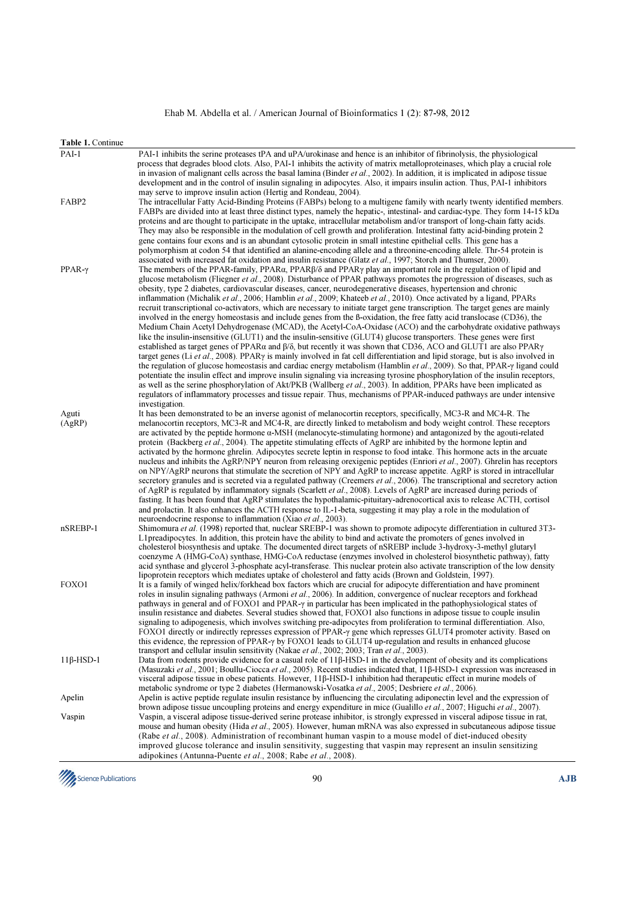## Ehab M. Abdella et al. / American Journal of Bioinformatics 1 (2): 87-98, 2012

| Table 1. Continue |                                                                                                                                                                                                                                                                                                                                                                                                   |
|-------------------|---------------------------------------------------------------------------------------------------------------------------------------------------------------------------------------------------------------------------------------------------------------------------------------------------------------------------------------------------------------------------------------------------|
| $PAI-1$           | PAI-1 inhibits the serine proteases tPA and uPA/urokinase and hence is an inhibitor of fibrinolysis, the physiological<br>process that degrades blood clots. Also, PAI-1 inhibits the activity of matrix metalloproteinases, which play a crucial role                                                                                                                                            |
|                   | in invasion of malignant cells across the basal lamina (Binder <i>et al.</i> , 2002). In addition, it is implicated in adipose tissue<br>development and in the control of insulin signaling in adipocytes. Also, it impairs insulin action. Thus, PAI-1 inhibitors<br>may serve to improve insulin action (Hertig and Rondeau, 2004).                                                            |
| FABP2             | The intracellular Fatty Acid-Binding Proteins (FABPs) belong to a multigene family with nearly twenty identified members.                                                                                                                                                                                                                                                                         |
|                   | FABPs are divided into at least three distinct types, namely the hepatic-, intestinal- and cardiac-type. They form 14-15 kDa                                                                                                                                                                                                                                                                      |
|                   | proteins and are thought to participate in the uptake, intracellular metabolism and/or transport of long-chain fatty acids.<br>They may also be responsible in the modulation of cell growth and proliferation. Intestinal fatty acid-binding protein 2<br>gene contains four exons and is an abundant cytosolic protein in small intestine epithelial cells. This gene has a                     |
|                   | polymorphism at codon 54 that identified an alanine-encoding allele and a threonine-encoding allele. Thr-54 protein is<br>associated with increased fat oxidation and insulin resistance (Glatz <i>et al.</i> , 1997; Storch and Thumser, 2000).                                                                                                                                                  |
| $PPAR-\gamma$     | The members of the PPAR-family, PPAR $\alpha$ , PPAR $\beta/\delta$ and PPAR $\gamma$ play an important role in the regulation of lipid and<br>glucose metabolism (Fliegner et al., 2008). Disturbance of PPAR pathways promotes the progression of diseases, such as<br>obesity, type 2 diabetes, cardiovascular diseases, cancer, neurodegenerative diseases, hypertension and chronic          |
|                   | inflammation (Michalik et al., 2006; Hamblin et al., 2009; Khateeb et al., 2010). Once activated by a ligand, PPARs<br>recruit transcriptional co-activators, which are necessary to initiate target gene transcription. The target genes are mainly                                                                                                                                              |
|                   | involved in the energy homeostasis and include genes from the B-oxidation, the free fatty acid translocase (CD36), the                                                                                                                                                                                                                                                                            |
|                   | Medium Chain Acetyl Dehydrogenase (MCAD), the Acetyl-CoA-Oxidase (ACO) and the carbohydrate oxidative pathways<br>like the insulin-insensitive (GLUT1) and the insulin-sensitive (GLUT4) glucose transporters. These genes were first<br>established as target genes of PPAR $\alpha$ and $\beta/\delta$ , but recently it was shown that CD36, ACO and GLUT1 are also PPAR $\gamma$              |
|                   | target genes (Li <i>et al.</i> , 2008). PPAR $\gamma$ is mainly involved in fat cell differentiation and lipid storage, but is also involved in                                                                                                                                                                                                                                                   |
|                   | the regulation of glucose homeostasis and cardiac energy metabolism (Hamblin <i>et al.</i> , 2009). So that, PPAR- $\gamma$ ligand could<br>potentiate the insulin effect and improve insulin signaling via increasing tyrosine phosphorylation of the insulin receptors,<br>as well as the serine phosphorylation of Akt/PKB (Wallberg et al., 2003). In addition, PPARs have been implicated as |
|                   | regulators of inflammatory processes and tissue repair. Thus, mechanisms of PPAR-induced pathways are under intensive                                                                                                                                                                                                                                                                             |
|                   | investigation.                                                                                                                                                                                                                                                                                                                                                                                    |
| Aguti             | It has been demonstrated to be an inverse agonist of melanocortin receptors, specifically, MC3-R and MC4-R. The<br>melanocortin receptors, MC3-R and MC4-R, are directly linked to metabolism and body weight control. These receptors                                                                                                                                                            |
| (AgRP)            | are activated by the peptide hormone $\alpha$ -MSH (melanocyte-stimulating hormone) and antagonized by the agouti-related                                                                                                                                                                                                                                                                         |
|                   | protein (Backberg et al., 2004). The appetite stimulating effects of AgRP are inhibited by the hormone leptin and                                                                                                                                                                                                                                                                                 |
|                   | activated by the hormone ghrelin. Adipocytes secrete leptin in response to food intake. This hormone acts in the arcuate                                                                                                                                                                                                                                                                          |
|                   | nucleus and inhibits the AgRP/NPY neuron from releasing orexigenic peptides (Enriori et al., 2007). Ghrelin has receptors                                                                                                                                                                                                                                                                         |
|                   | on NPY/AgRP neurons that stimulate the secretion of NPY and AgRP to increase appetite. AgRP is stored in intracellular                                                                                                                                                                                                                                                                            |
|                   | secretory granules and is secreted via a regulated pathway (Creemers <i>et al.</i> , 2006). The transcriptional and secretory action<br>of AgRP is regulated by inflammatory signals (Scarlett et al., 2008). Levels of AgRP are increased during periods of                                                                                                                                      |
|                   | fasting. It has been found that AgRP stimulates the hypothalamic-pituitary-adrenocortical axis to release ACTH, cortisol                                                                                                                                                                                                                                                                          |
|                   | and prolactin. It also enhances the ACTH response to IL-1-beta, suggesting it may play a role in the modulation of                                                                                                                                                                                                                                                                                |
|                   | neuroendocrine response to inflammation (Xiao <i>et al.</i> , 2003).                                                                                                                                                                                                                                                                                                                              |
| nSREBP-1          | Shimomura et al. (1998) reported that, nuclear SREBP-1 was shown to promote adipocyte differentiation in cultured 3T3-                                                                                                                                                                                                                                                                            |
|                   | L1 preadipocytes. In addition, this protein have the ability to bind and activate the promoters of genes involved in<br>cholesterol biosynthesis and uptake. The documented direct targets of nSREBP include 3-hydroxy-3-methyl glutaryl                                                                                                                                                          |
|                   | coenzyme A (HMG-CoA) synthase, HMG-CoA reductase (enzymes involved in cholesterol biosynthetic pathway), fatty                                                                                                                                                                                                                                                                                    |
|                   | acid synthase and glycerol 3-phosphate acyl-transferase. This nuclear protein also activate transcription of the low density                                                                                                                                                                                                                                                                      |
|                   | lipoprotein receptors which mediates uptake of cholesterol and fatty acids (Brown and Goldstein, 1997).                                                                                                                                                                                                                                                                                           |
| FOXO1             | It is a family of winged helix/forkhead box factors which are crucial for adipocyte differentiation and have prominent                                                                                                                                                                                                                                                                            |
|                   | roles in insulin signaling pathways (Armoni et al., 2006). In addition, convergence of nuclear receptors and forkhead<br>pathways in general and of FOXO1 and PPAR- $\gamma$ in particular has been implicated in the pathophysiological states of                                                                                                                                                |
|                   | insulin resistance and diabetes. Several studies showed that, FOXO1 also functions in adipose tissue to couple insulin                                                                                                                                                                                                                                                                            |
|                   | signaling to adipogenesis, which involves switching pre-adipocytes from proliferation to terminal differentiation. Also,                                                                                                                                                                                                                                                                          |
|                   | FOXO1 directly or indirectly represses expression of PPAR- $\gamma$ gene which represses GLUT4 promoter activity. Based on                                                                                                                                                                                                                                                                        |
|                   | this evidence, the repression of PPAR- $\gamma$ by FOXO1 leads to GLUT4 up-regulation and results in enhanced glucose                                                                                                                                                                                                                                                                             |
| $11\beta$ -HSD-1  | transport and cellular insulin sensitivity (Nakae et al., 2002; 2003; Tran et al., 2003).<br>Data from rodents provide evidence for a casual role of 11ß-HSD-1 in the development of obesity and its complications                                                                                                                                                                                |
|                   | (Masuzaki et al., 2001; Boullu-Ciocca et al., 2005). Recent studies indicated that, 11β-HSD-1 expression was increased in                                                                                                                                                                                                                                                                         |
|                   | visceral adipose tissue in obese patients. However, 11β-HSD-1 inhibition had therapeutic effect in murine models of                                                                                                                                                                                                                                                                               |
|                   | metabolic syndrome or type 2 diabetes (Hermanowski-Vosatka et al., 2005; Desbriere et al., 2006).                                                                                                                                                                                                                                                                                                 |
| Apelin            | Apelin is active peptide regulate insulin resistance by influencing the circulating adiponectin level and the expression of                                                                                                                                                                                                                                                                       |
|                   | brown adipose tissue uncoupling proteins and energy expenditure in mice (Gualillo <i>et al.</i> , 2007; Higuchi <i>et al.</i> , 2007).                                                                                                                                                                                                                                                            |
| Vaspin            | Vaspin, a visceral adipose tissue-derived serine protease inhibitor, is strongly expressed in visceral adipose tissue in rat,<br>mouse and human obesity (Hida et al., 2005). However, human mRNA was also expressed in subcutaneous adipose tissue                                                                                                                                               |
|                   | (Rabe et al., 2008). Administration of recombinant human vaspin to a mouse model of diet-induced obesity                                                                                                                                                                                                                                                                                          |
|                   | improved glucose tolerance and insulin sensitivity, suggesting that vaspin may represent an insulin sensitizing                                                                                                                                                                                                                                                                                   |
|                   | adipokines (Antunna-Puente et al., 2008; Rabe et al., 2008).                                                                                                                                                                                                                                                                                                                                      |

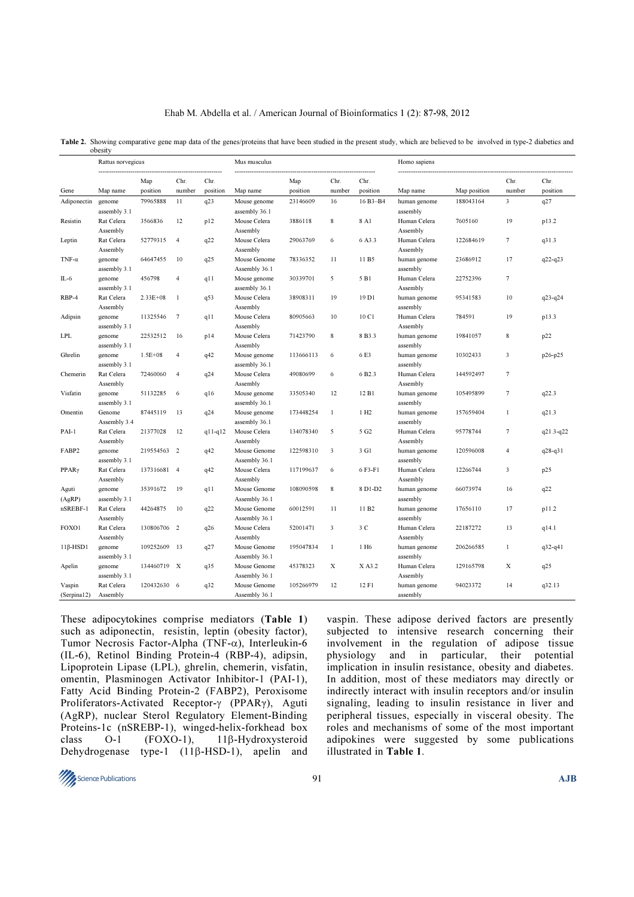| Ehab M. Abdella et al. / American Journal of Bioinformatics 1 (2): 87-98, 2012 |  |  |  |  |  |  |
|--------------------------------------------------------------------------------|--|--|--|--|--|--|
|--------------------------------------------------------------------------------|--|--|--|--|--|--|

|                       | obesity                                |                 |                 |                  |                               |                 |                |                   |                          |              |                |                  |
|-----------------------|----------------------------------------|-----------------|-----------------|------------------|-------------------------------|-----------------|----------------|-------------------|--------------------------|--------------|----------------|------------------|
|                       | Rattus norvegicus<br>----------------- |                 |                 |                  | Mus musculus                  |                 |                |                   | Homo sapiens             |              |                |                  |
| Gene                  | Map name                               | Map<br>position | Chr.<br>number  | Chr.<br>position | Map name                      | Map<br>position | Chr.<br>number | Chr.<br>position  | Map name                 | Map position | Chr.<br>number | Chr.<br>position |
| Adiponectin           | genome<br>assembly 3.1                 | 79965888        | 11              | q23              | Mouse genome<br>assembly 36.1 | 23146609        | 16             | 16 B3-B4          | human genome<br>assembly | 188043164    | 3              | q27              |
| Resistin              | Rat Celera<br>Assembly                 | 3566836         | 12              | p12              | Mouse Celera<br>Assembly      | 3886118         | 8              | 8 A1              | Human Celera<br>Assembly | 7605160      | 19             | p13.2            |
| Leptin                | Rat Celera<br>Assembly                 | 52779315        | $\overline{4}$  | q22              | Mouse Celera<br>Assembly      | 29063769        | 6              | 6A3.3             | Human Celera<br>Assembly | 122684619    | $\tau$         | q31.3            |
| TNF- $\alpha$         | genome<br>assembly 3.1                 | 64647455        | 10              | q25              | Mouse Genome<br>Assembly 36.1 | 78336352        | 11             | 11 B <sub>5</sub> | human genome<br>assembly | 23686912     | 17             | $q22 - q23$      |
| $IL-6$                | genome<br>assembly 3.1                 | 456798          | $\overline{4}$  | q11              | Mouse genome<br>assembly 36.1 | 30339701        | 5              | 5 B1              | Human Celera<br>Assembly | 22752396     | $\tau$         |                  |
| RBP-4                 | Rat Celera<br>Assembly                 | 2.33E+08        | $\mathbf{1}$    | q53              | Mouse Celera<br>Assembly      | 38908311        | 19             | 19 D1             | human genome<br>assembly | 95341583     | 10             | $q23 - q24$      |
| Adipsin               | genome<br>assembly 3.1                 | 11325546        | $7\phantom{.0}$ | q11              | Mouse Celera<br>Assembly      | 80905663        | 10             | 10 C1             | Human Celera<br>Assembly | 784591       | 19             | p13.3            |
| <b>LPL</b>            | genome<br>assembly 3.1                 | 22532512        | 16              | p14              | Mouse Celera<br>Assembly      | 71423790        | $\bf 8$        | 8 B3.3            | human genome<br>assembly | 19841057     | $\,$ 8 $\,$    | p22              |
| Ghrelin               | genome<br>assembly 3.1                 | $1.5E + 08$     | $\overline{4}$  | q42              | Mouse genome<br>assembly 36.1 | 113666113       | 6              | 6E3               | human genome<br>assembly | 10302433     | 3              | p26-p25          |
| Chemerin              | Rat Celera<br>Assembly                 | 72460060        | $\overline{4}$  | q24              | Mouse Celera<br>Assembly      | 49080699        | 6              | 6B2.3             | Human Celera<br>Assembly | 144592497    | $\overline{7}$ |                  |
| Visfatin              | genome<br>assembly 3.1                 | 51132285        | 6               | q16              | Mouse genome<br>assembly 36.1 | 33505340        | 12             | 12 B1             | human genome<br>assembly | 105495899    | $\tau$         | q22.3            |
| Omentin               | Genome<br>Assembly 3.4                 | 87445119        | 13              | q24              | Mouse genome<br>assembly 36.1 | 173448254       | $\mathbf{1}$   | 1 H <sub>2</sub>  | human genome<br>assembly | 157659404    | $\mathbf{1}$   | q21.3            |
| PAI-1                 | Rat Celera<br>Assembly                 | 21377028        | 12              | q11-q12          | Mouse Celera<br>Assembly      | 134078340       | 5              | 5 G <sub>2</sub>  | Human Celera<br>Assembly | 95778744     | $\tau$         | $q21.3 - q22$    |
| FABP2                 | genome<br>assembly 3.1                 | 219554563       | $\overline{2}$  | q42              | Mouse Genome<br>Assembly 36.1 | 122598310       | 3              | 3 G1              | human genome<br>assembly | 120596008    | $\overline{4}$ | $q28 - q31$      |
| PPARγ                 | Rat Celera<br>Assembly                 | 137316681 4     |                 | q42              | Mouse Celera<br>Assembly      | 117199637       | 6              | 6 F3-F1           | Human Celera<br>Assembly | 12266744     | 3              | p25              |
| Aguti<br>(AgRP)       | genome<br>assembly 3.1                 | 35391672        | 19              | q11              | Mouse Genome<br>Assembly 36.1 | 108090598       | $\,$ 8 $\,$    | 8 D1-D2           | human genome<br>assembly | 66073974     | 16             | q22              |
| nSREBF-1              | Rat Celera<br>Assembly                 | 44264875        | 10              | q22              | Mouse Genome<br>Assembly 36.1 | 60012591        | 11             | 11 B <sub>2</sub> | human genome<br>assembly | 17656110     | 17             | p11.2            |
| FOXO1                 | Rat Celera<br>Assembly                 | 130806706       | $\overline{2}$  | q26              | Mouse Celera<br>Assembly      | 52001471        | 3              | 3 C               | Human Celera<br>Assembly | 22187272     | 13             | q14.1            |
| $11\beta$ -HSD1       | genome<br>assembly 3.1                 | 109252609       | 13              | q27              | Mouse Genome<br>Assembly 36.1 | 195047834       | $\mathbf{1}$   | 1 H <sub>6</sub>  | human genome<br>assembly | 206266585    | $\mathbf{1}$   | $q32-q41$        |
| Apelin                | genome<br>assembly 3.1                 | 134460719 X     |                 | q35              | Mouse Genome<br>Assembly 36.1 | 45378323        | X              | $X$ A3.2          | Human Celera<br>Assembly | 129165798    | X              | q25              |
| Vaspin<br>(Serpina12) | Rat Celera<br>Assembly                 | 120432630       | 6               | q32              | Mouse Genome<br>Assembly 36.1 | 105266979       | 12             | 12 F1             | human genome<br>assembly | 94023372     | 14             | q32.13           |

Table 2. Showing comparative gene map data of the genes/proteins that have been studied in the present study, which are believed to be involved in type-2 diabetics and

These adipocytokines comprise mediators (Table 1) such as adiponectin, resistin, leptin (obesity factor), Tumor Necrosis Factor-Alpha (TNF-α), Interleukin-6 (IL-6), Retinol Binding Protein-4 (RBP-4), adipsin, Lipoprotein Lipase (LPL), ghrelin, chemerin, visfatin, omentin, Plasminogen Activator Inhibitor-1 (PAI-1), Fatty Acid Binding Protein-2 (FABP2), Peroxisome Proliferators-Activated Receptor-γ (PPARγ), Aguti (AgRP), nuclear Sterol Regulatory Element-Binding Proteins-1c (nSREBP-1), winged-helix-forkhead box<br>class 0-1 (FOX0-1). 116-Hydroxysteroid class O-1 (FOXO-1), 11β-Hydroxysteroid Dehydrogenase type-1 (11β-HSD-1), apelin and vaspin. These adipose derived factors are presently subjected to intensive research concerning their involvement in the regulation of adipose tissue physiology and in particular, their potential implication in insulin resistance, obesity and diabetes. In addition, most of these mediators may directly or indirectly interact with insulin receptors and/or insulin signaling, leading to insulin resistance in liver and peripheral tissues, especially in visceral obesity. The roles and mechanisms of some of the most important adipokines were suggested by some publications illustrated in Table 1.

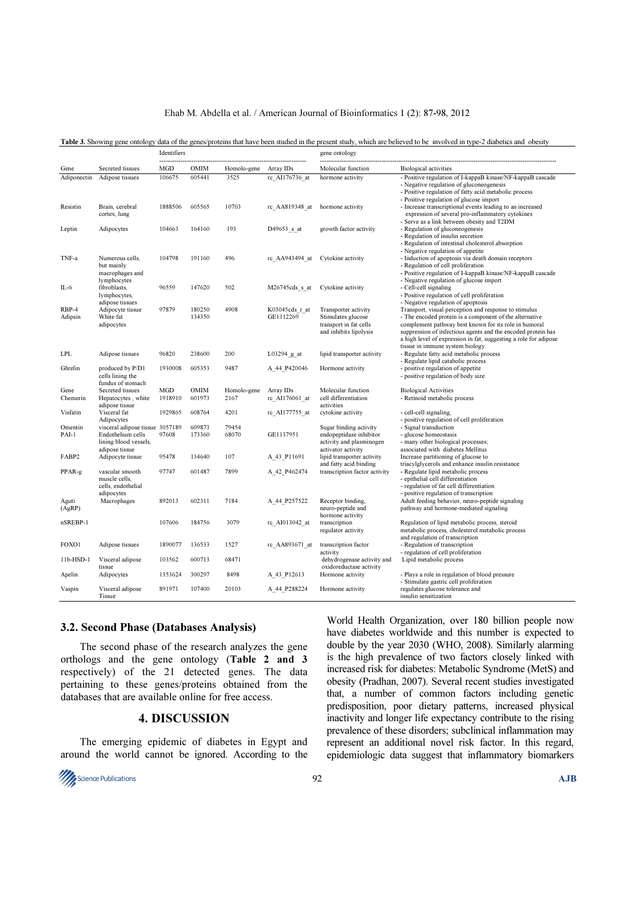#### Ehab M. Abdella et al. / American Journal of Bioinformatics 1 (2): 87-98, 2012

|                  |                                                                                                 | Identifiers           |                       |                     |                             | gene ontology                                                                                       |                                                                                                                                                                                                                                                                                                                                                   |  |
|------------------|-------------------------------------------------------------------------------------------------|-----------------------|-----------------------|---------------------|-----------------------------|-----------------------------------------------------------------------------------------------------|---------------------------------------------------------------------------------------------------------------------------------------------------------------------------------------------------------------------------------------------------------------------------------------------------------------------------------------------------|--|
| Gene             | Secreted tissues                                                                                | MGD                   | <b>OMIM</b>           | Homolo-gene         | Array IDs                   | Molecular function                                                                                  | <b>Biological activities</b>                                                                                                                                                                                                                                                                                                                      |  |
| Adiponectin      | Adipose tissues                                                                                 | 106675                | 605441                | 3525                | rc AI176736 at              | hormone activity                                                                                    | - Positive regulation of I-kappaB kinase/NF-kappaB cascade<br>- Negative regulation of gluconeogenesis<br>- Positive regulation of fatty acid metabolic process<br>- Positive regulation of glucose import                                                                                                                                        |  |
| Resistin         | Brain, cerebral<br>cortex, lung                                                                 | 1888506               | 605565                | 10703               | rc AA819348 at              | hormone activity                                                                                    | - Increase transcriptional events leading to an increased<br>expression of several pro-inflammatory cytokines<br>- Serve as a link between obesity and T2DM                                                                                                                                                                                       |  |
| Leptin           | Adipocytes                                                                                      | 104663                | 164160                | 193                 | D49653 s at                 | growth factor activity                                                                              | - Regulation of gluconeogenesis<br>- Regulation of insulin secretion<br>- Regulation of intestinal cholesterol absorption<br>- Negative regulation of appetite                                                                                                                                                                                    |  |
| TNF-a            | Numerous cells,<br>but mainly<br>macrophages and<br>lymphocytes                                 | 104798                | 191160                | 496                 | rc AA943494 at              | Cytokine activity                                                                                   | - Induction of apoptosis via death domain receptors<br>- Regulation of cell proliferation<br>- Positive regulation of I-kappaB kinase/NF-kappaB cascade<br>- Negative regulation of glucose import                                                                                                                                                |  |
| IL-6             | fibroblasts,<br>lymphocytes,<br>adipose tissues                                                 | 96559                 | 147620                | 502                 | M26745cds s at              | Cytokine activity                                                                                   | - Cell-cell signaling<br>- Positive regulation of cell proliferation<br>- Negative regulation of apoptosis                                                                                                                                                                                                                                        |  |
| RBP-4<br>Adipsin | Adipocyte tissue<br>White fat<br>adipocytes                                                     | 97879                 | 180250<br>134350      | 4908                | K03045cds r at<br>GE1112269 | Transporter activity<br>Stimulates glucose<br>transport in fat cells<br>and inhibits lipolysis      | Transport, visual perception and response to stimulus<br>- The encoded protein is a component of the alternative<br>complement pathway best known for its role in humoral<br>suppression of infectious agents and the encoded protein has<br>a high level of expression in fat, suggesting a role for adipose<br>tissue in immune system biology. |  |
| <b>LPL</b>       | Adipose tissues                                                                                 | 96820                 | 238600                | 200                 | $L03294$ g at               | lipid transporter activity                                                                          | - Regulate fatty acid metabolic process<br>- Regulate lipid catabolic process                                                                                                                                                                                                                                                                     |  |
| Ghrelin          | produced by P/D1<br>cells lining the<br>fundus of stomach                                       | 1930008               | 605353                | 9487                | A 44 P420046                | Hormone activity                                                                                    | - positive regulation of appetite<br>- positive regulation of body size                                                                                                                                                                                                                                                                           |  |
| Gene<br>Chemerin | Secreted tissues<br>Hepatocytes, white<br>adipose tissue                                        | <b>MGD</b><br>1918910 | <b>OMIM</b><br>601973 | Homolo-gene<br>2167 | Array IDs<br>rc_AI176061_at | Molecular function<br>cell differentiation<br>activities                                            | <b>Biological Activities</b><br>- Retinoid metabolic process                                                                                                                                                                                                                                                                                      |  |
| Visfatin         | Visceral fat<br>Adipocytes                                                                      | 1929865               | 608764                | 4201                | rc_AI177755_at              | cytokine activity                                                                                   | - cell-cell signaling,<br>- positive regulation of cell proliferation                                                                                                                                                                                                                                                                             |  |
| Omentin<br>PAI-1 | visceral adipose tissue 3057189<br>Endothelium cells<br>lining blood vessels,<br>adipose tissue | 97608                 | 609873<br>173360      | 79454<br>68070      | GE1137951                   | Sugar binding activity<br>endopeptidase inhibitor<br>activity and plasminogen<br>activator activity | - Signal transduction<br>- glucose homeostasis<br>- many other biological processes;<br>associated with diabetes Mellitus                                                                                                                                                                                                                         |  |
| FABP2            | Adipocyte tissue                                                                                | 95478                 | 134640                | 107                 | A 43 P11691                 | lipid transporter activity<br>and fatty acid binding                                                | Increase partitioning of glucose to<br>triacylglycerols and enhance insulin resistance                                                                                                                                                                                                                                                            |  |
| PPAR-g           | vascular smooth<br>muscle cells.<br>cells, endothelial<br>adipocytes                            | 97747                 | 601487                | 7899                | A 42 P462474                | transcription factor activity                                                                       | - Regulate lipid metabolic process<br>- epithelial cell differentiation<br>- regulation of fat cell differentiation<br>- positive regulation of transcription                                                                                                                                                                                     |  |
| Aguti<br>(AgRP)  | Macrophages                                                                                     | 892013                | 602311                | 7184                | A 44 P257522                | Receptor binding,<br>neuro-peptide and<br>hormone activity                                          | Adult feeding behavior, neuro-peptide signaling<br>pathway and hormone-mediated signaling                                                                                                                                                                                                                                                         |  |
| nSREBP-1         |                                                                                                 | 107606                | 184756                | 3079                | rc_AI013042_at              | transcription<br>regulator activity                                                                 | Regulation of lipid metabolic process, steroid<br>metabolic process, cholesterol metabolic process<br>and regulation of transcription                                                                                                                                                                                                             |  |
| FOXO1            | Adipose tissues                                                                                 | 1890077               | 136533                | 1527                | rc_AA893671_at              | transcription factor<br>activity                                                                    | - Regulation of transcription<br>- regulation of cell proliferation                                                                                                                                                                                                                                                                               |  |
| 11b-HSD-1        | Visceral adipose<br>tissue                                                                      | 103562                | 600713                | 68471               |                             | dehydrogenase activity and<br>oxidoreductase activity                                               | Lipid metabolic process                                                                                                                                                                                                                                                                                                                           |  |
| Apelin           | Adipocytes                                                                                      | 1353624               | 300297                | 8498                | A 43 P12613                 | Hormone activity                                                                                    | - Plays a role in regulation of blood pressure<br>- Stimulate gastric cell proliferation                                                                                                                                                                                                                                                          |  |
| Vaspin           | Visceral adipose<br>Tissue                                                                      | 891971                | 107400                | 20103               | A 44 P288224                | Hormone activity                                                                                    | regulates glucose tolerance and<br>insulin sensitization                                                                                                                                                                                                                                                                                          |  |

#### Table 3. Showing gene ontology data of the genes/proteins that have been studied in the present study, which are believed to be involved in type-2 diabetics and obesity

#### 3.2. Second Phase (Databases Analysis)

The second phase of the research analyzes the gene orthologs and the gene ontology (Table 2 and 3 respectively) of the 21 detected genes. The data pertaining to these genes/proteins obtained from the databases that are available online for free access.

### 4. DISCUSSION

 The emerging epidemic of diabetes in Egypt and around the world cannot be ignored. According to the



World Health Organization, over 180 billion people now have diabetes worldwide and this number is expected to double by the year 2030 (WHO, 2008). Similarly alarming is the high prevalence of two factors closely linked with increased risk for diabetes: Metabolic Syndrome (MetS) and obesity (Pradhan, 2007). Several recent studies investigated that, a number of common factors including genetic predisposition, poor dietary patterns, increased physical inactivity and longer life expectancy contribute to the rising prevalence of these disorders; subclinical inflammation may represent an additional novel risk factor. In this regard, epidemiologic data suggest that inflammatory biomarkers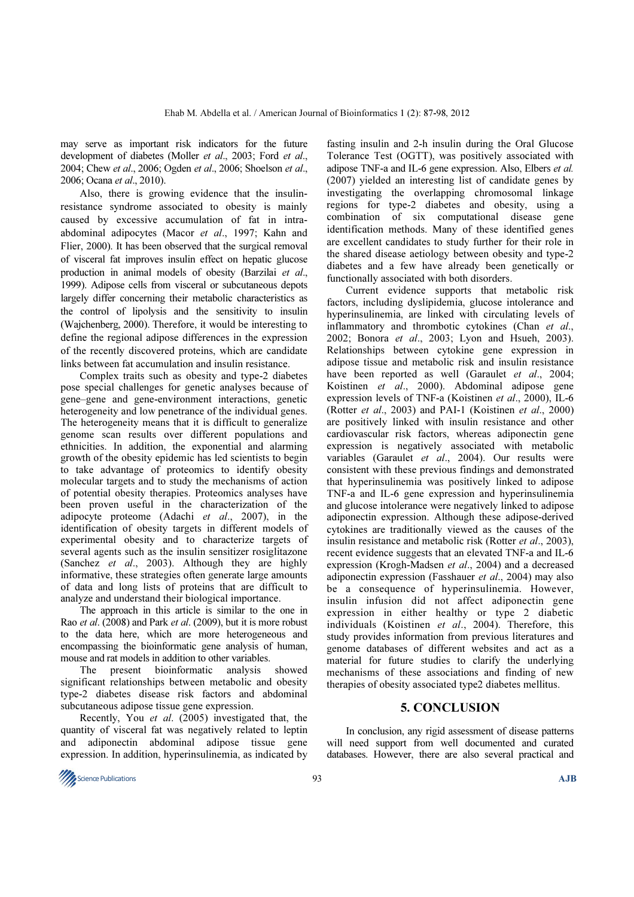may serve as important risk indicators for the future development of diabetes (Moller et al., 2003; Ford et al., 2004; Chew et al., 2006; Ogden et al., 2006; Shoelson et al., 2006; Ocana et al., 2010).

 Also, there is growing evidence that the insulinresistance syndrome associated to obesity is mainly caused by excessive accumulation of fat in intraabdominal adipocytes (Macor et al., 1997; Kahn and Flier, 2000). It has been observed that the surgical removal of visceral fat improves insulin effect on hepatic glucose production in animal models of obesity (Barzilai et al., 1999). Adipose cells from visceral or subcutaneous depots largely differ concerning their metabolic characteristics as the control of lipolysis and the sensitivity to insulin (Wajchenberg, 2000). Therefore, it would be interesting to define the regional adipose differences in the expression of the recently discovered proteins, which are candidate links between fat accumulation and insulin resistance.

 Complex traits such as obesity and type-2 diabetes pose special challenges for genetic analyses because of gene–gene and gene-environment interactions, genetic heterogeneity and low penetrance of the individual genes. The heterogeneity means that it is difficult to generalize genome scan results over different populations and ethnicities. In addition, the exponential and alarming growth of the obesity epidemic has led scientists to begin to take advantage of proteomics to identify obesity molecular targets and to study the mechanisms of action of potential obesity therapies. Proteomics analyses have been proven useful in the characterization of the adipocyte proteome (Adachi et al., 2007), in the identification of obesity targets in different models of experimental obesity and to characterize targets of several agents such as the insulin sensitizer rosiglitazone (Sanchez et al., 2003). Although they are highly informative, these strategies often generate large amounts of data and long lists of proteins that are difficult to analyze and understand their biological importance.

 The approach in this article is similar to the one in Rao et al. (2008) and Park et al. (2009), but it is more robust to the data here, which are more heterogeneous and encompassing the bioinformatic gene analysis of human, mouse and rat models in addition to other variables.

 The present bioinformatic analysis showed significant relationships between metabolic and obesity type-2 diabetes disease risk factors and abdominal subcutaneous adipose tissue gene expression.

 Recently, You et al. (2005) investigated that, the quantity of visceral fat was negatively related to leptin and adiponectin abdominal adipose tissue gene expression. In addition, hyperinsulinemia, as indicated by

fasting insulin and 2-h insulin during the Oral Glucose Tolerance Test (OGTT), was positively associated with adipose TNF-a and IL-6 gene expression. Also, Elbers et al. (2007) yielded an interesting list of candidate genes by investigating the overlapping chromosomal linkage regions for type-2 diabetes and obesity, using a combination of six computational disease gene identification methods. Many of these identified genes are excellent candidates to study further for their role in the shared disease aetiology between obesity and type-2 diabetes and a few have already been genetically or functionally associated with both disorders.

 Current evidence supports that metabolic risk factors, including dyslipidemia, glucose intolerance and hyperinsulinemia, are linked with circulating levels of inflammatory and thrombotic cytokines (Chan et al., 2002; Bonora et al., 2003; Lyon and Hsueh, 2003). Relationships between cytokine gene expression in adipose tissue and metabolic risk and insulin resistance have been reported as well (Garaulet et al., 2004; Koistinen et al., 2000). Abdominal adipose gene expression levels of TNF-a (Koistinen et al., 2000), IL-6 (Rotter et al., 2003) and PAI-1 (Koistinen et al., 2000) are positively linked with insulin resistance and other cardiovascular risk factors, whereas adiponectin gene expression is negatively associated with metabolic variables (Garaulet et al., 2004). Our results were consistent with these previous findings and demonstrated that hyperinsulinemia was positively linked to adipose TNF-a and IL-6 gene expression and hyperinsulinemia and glucose intolerance were negatively linked to adipose adiponectin expression. Although these adipose-derived cytokines are traditionally viewed as the causes of the insulin resistance and metabolic risk (Rotter et al., 2003), recent evidence suggests that an elevated TNF-a and IL-6 expression (Krogh-Madsen et al., 2004) and a decreased adiponectin expression (Fasshauer et al., 2004) may also be a consequence of hyperinsulinemia. However, insulin infusion did not affect adiponectin gene expression in either healthy or type 2 diabetic individuals (Koistinen et al., 2004). Therefore, this study provides information from previous literatures and genome databases of different websites and act as a material for future studies to clarify the underlying mechanisms of these associations and finding of new therapies of obesity associated type2 diabetes mellitus.

### 5. CONCLUSION

 In conclusion, any rigid assessment of disease patterns will need support from well documented and curated databases. However, there are also several practical and

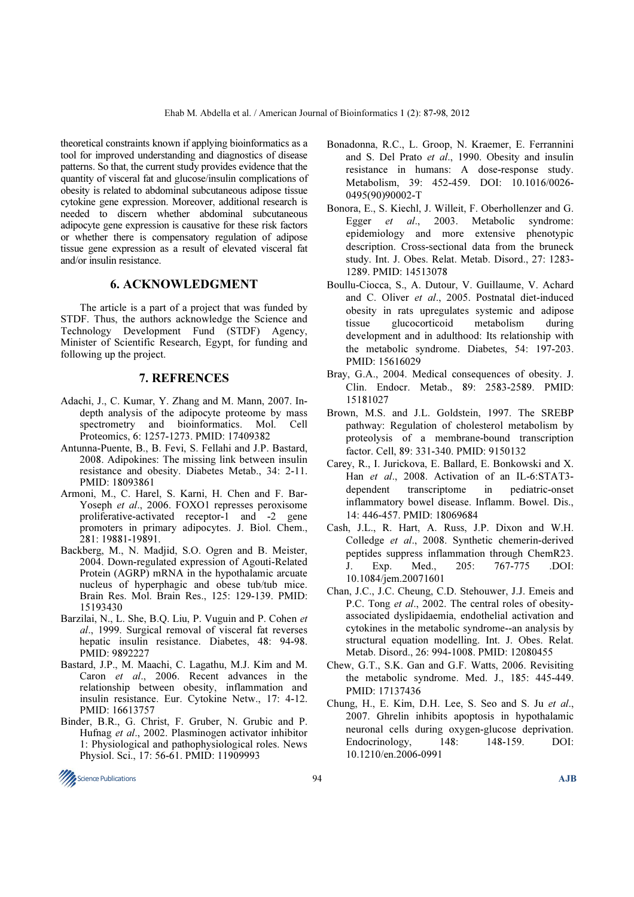theoretical constraints known if applying bioinformatics as a tool for improved understanding and diagnostics of disease patterns. So that, the current study provides evidence that the quantity of visceral fat and glucose/insulin complications of obesity is related to abdominal subcutaneous adipose tissue cytokine gene expression. Moreover, additional research is needed to discern whether abdominal subcutaneous adipocyte gene expression is causative for these risk factors or whether there is compensatory regulation of adipose tissue gene expression as a result of elevated visceral fat and/or insulin resistance.

### 6. ACKNOWLEDGMENT

 The article is a part of a project that was funded by STDF. Thus, the authors acknowledge the Science and Technology Development Fund (STDF) Agency, Minister of Scientific Research, Egypt, for funding and following up the project.

### 7. REFRENCES

- Adachi, J., C. Kumar, Y. Zhang and M. Mann, 2007. Indepth analysis of the adipocyte proteome by mass spectrometry and bioinformatics. Mol. Cell Proteomics, 6: 1257-1273. PMID: 17409382
- Antunna-Puente, B., B. Fevi, S. Fellahi and J.P. Bastard, 2008. Adipokines: The missing link between insulin resistance and obesity. Diabetes Metab., 34: 2-11. PMID: 18093861
- Armoni, M., C. Harel, S. Karni, H. Chen and F. Bar-Yoseph et al., 2006. FOXO1 represses peroxisome proliferative-activated receptor-1 and -2 gene promoters in primary adipocytes. J. Biol. Chem., 281: 19881-19891.
- Backberg, M., N. Madjid, S.O. Ogren and B. Meister, 2004. Down-regulated expression of Agouti-Related Protein (AGRP) mRNA in the hypothalamic arcuate nucleus of hyperphagic and obese tub/tub mice. Brain Res. Mol. Brain Res., 125: 129-139. PMID: 15193430
- Barzilai, N., L. She, B.Q. Liu, P. Vuguin and P. Cohen et al., 1999. Surgical removal of visceral fat reverses hepatic insulin resistance. Diabetes, 48: 94-98. PMID: 9892227
- Bastard, J.P., M. Maachi, C. Lagathu, M.J. Kim and M. Caron et al., 2006. Recent advances in the relationship between obesity, inflammation and insulin resistance. Eur. Cytokine Netw., 17: 4-12. PMID: 16613757
- Binder, B.R., G. Christ, F. Gruber, N. Grubic and P. Hufnag et al., 2002. Plasminogen activator inhibitor 1: Physiological and pathophysiological roles. News Physiol. Sci., 17: 56-61. PMID: 11909993
- Bonadonna, R.C., L. Groop, N. Kraemer, E. Ferrannini and S. Del Prato et al., 1990. Obesity and insulin resistance in humans: A dose-response study. Metabolism, 39: 452-459. DOI: 10.1016/0026- 0495(90)90002-T
- Bonora, E., S. Kiechl, J. Willeit, F. Oberhollenzer and G. Egger et al., 2003. Metabolic syndrome: epidemiology and more extensive phenotypic description. Cross-sectional data from the bruneck study. Int. J. Obes. Relat. Metab. Disord., 27: 1283- 1289. PMID: 14513078
- Boullu-Ciocca, S., A. Dutour, V. Guillaume, V. Achard and C. Oliver et al., 2005. Postnatal diet-induced obesity in rats upregulates systemic and adipose tissue glucocorticoid metabolism during development and in adulthood: Its relationship with the metabolic syndrome. Diabetes, 54: 197-203. PMID: 15616029
- Bray, G.A., 2004. Medical consequences of obesity. J. Clin. Endocr. Metab., 89: 2583-2589. PMID: 15181027
- Brown, M.S. and J.L. Goldstein, 1997. The SREBP pathway: Regulation of cholesterol metabolism by proteolysis of a membrane-bound transcription factor. Cell, 89: 331-340. PMID: 9150132
- Carey, R., I. Jurickova, E. Ballard, E. Bonkowski and X. Han et al., 2008. Activation of an IL-6:STAT3 dependent transcriptome in pediatric-onset inflammatory bowel disease. Inflamm. Bowel. Dis., 14: 446-457. PMID: 18069684
- Cash, J.L., R. Hart, A. Russ, J.P. Dixon and W.H. Colledge et al., 2008. Synthetic chemerin-derived peptides suppress inflammation through ChemR23. J. Exp. Med., 205: 767-775 .DOI: 10.1084/jem.20071601
- Chan, J.C., J.C. Cheung, C.D. Stehouwer, J.J. Emeis and P.C. Tong *et al.*, 2002. The central roles of obesityassociated dyslipidaemia, endothelial activation and cytokines in the metabolic syndrome--an analysis by structural equation modelling. Int. J. Obes. Relat. Metab. Disord., 26: 994-1008. PMID: 12080455
- Chew, G.T., S.K. Gan and G.F. Watts, 2006. Revisiting the metabolic syndrome. Med. J., 185: 445-449. PMID: 17137436
- Chung, H., E. Kim, D.H. Lee, S. Seo and S. Ju et al., 2007. Ghrelin inhibits apoptosis in hypothalamic neuronal cells during oxygen-glucose deprivation. Endocrinology, 148: 148-159. DOI: 10.1210/en.2006-0991

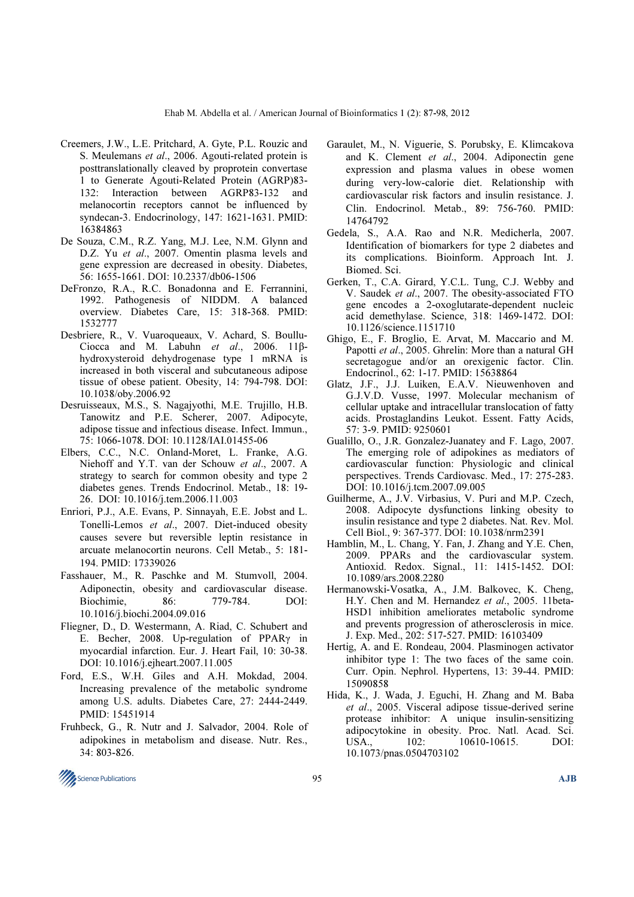- Creemers, J.W., L.E. Pritchard, A. Gyte, P.L. Rouzic and S. Meulemans et al., 2006. Agouti-related protein is posttranslationally cleaved by proprotein convertase 1 to Generate Agouti-Related Protein (AGRP)83- 132: Interaction between AGRP83-132 and melanocortin receptors cannot be influenced by syndecan-3. Endocrinology, 147: 1621-1631. PMID: 16384863
- De Souza, C.M., R.Z. Yang, M.J. Lee, N.M. Glynn and D.Z. Yu et al., 2007. Omentin plasma levels and gene expression are decreased in obesity. Diabetes, 56: 1655-1661. DOI: 10.2337/db06-1506
- DeFronzo, R.A., R.C. Bonadonna and E. Ferrannini, 1992. Pathogenesis of NIDDM. A balanced overview. Diabetes Care, 15: 318-368. PMID: 1532777
- Desbriere, R., V. Vuaroqueaux, V. Achard, S. Boullu-Ciocca and M. Labuhn et al., 2006. 11βhydroxysteroid dehydrogenase type 1 mRNA is increased in both visceral and subcutaneous adipose tissue of obese patient. Obesity, 14: 794-798. DOI: 10.1038/oby.2006.92
- Desruisseaux, M.S., S. Nagajyothi, M.E. Trujillo, H.B. Tanowitz and P.E. Scherer, 2007. Adipocyte, adipose tissue and infectious disease. Infect. Immun., 75: 1066-1078. DOI: 10.1128/IAI.01455-06
- Elbers, C.C., N.C. Onland-Moret, L. Franke, A.G. Niehoff and Y.T. van der Schouw et al., 2007. A strategy to search for common obesity and type 2 diabetes genes. Trends Endocrinol. Metab., 18: 19- 26. DOI: 10.1016/j.tem.2006.11.003
- Enriori, P.J., A.E. Evans, P. Sinnayah, E.E. Jobst and L. Tonelli-Lemos et al., 2007. Diet-induced obesity causes severe but reversible leptin resistance in arcuate melanocortin neurons. Cell Metab., 5: 181- 194. PMID: 17339026
- Fasshauer, M., R. Paschke and M. Stumvoll, 2004. Adiponectin, obesity and cardiovascular disease. Biochimie, 86: 779-784. DOI: 10.1016/j.biochi.2004.09.016
- Fliegner, D., D. Westermann, A. Riad, C. Schubert and E. Becher, 2008. Up-regulation of PPARγ in myocardial infarction. Eur. J. Heart Fail, 10: 30-38. DOI: 10.1016/j.ejheart.2007.11.005
- Ford, E.S., W.H. Giles and A.H. Mokdad, 2004. Increasing prevalence of the metabolic syndrome among U.S. adults. Diabetes Care, 27: 2444-2449. PMID: 15451914
- Fruhbeck, G., R. Nutr and J. Salvador, 2004. Role of adipokines in metabolism and disease. Nutr. Res., 34: 803-826.
- Garaulet, M., N. Viguerie, S. Porubsky, E. Klimcakova and K. Clement et al., 2004. Adiponectin gene expression and plasma values in obese women during very-low-calorie diet. Relationship with cardiovascular risk factors and insulin resistance. J. Clin. Endocrinol. Metab., 89: 756-760. PMID: 14764792
- Gedela, S., A.A. Rao and N.R. Medicherla, 2007. Identification of biomarkers for type 2 diabetes and its complications. Bioinform. Approach Int. J. Biomed. Sci.
- Gerken, T., C.A. Girard, Y.C.L. Tung, C.J. Webby and V. Saudek et al., 2007. The obesity-associated FTO gene encodes a 2-oxoglutarate-dependent nucleic acid demethylase. Science, 318: 1469-1472. DOI: 10.1126/science.1151710
- Ghigo, E., F. Broglio, E. Arvat, M. Maccario and M. Papotti et al., 2005. Ghrelin: More than a natural GH secretagogue and/or an orexigenic factor. Clin. Endocrinol., 62: 1-17. PMID: 15638864
- Glatz, J.F., J.J. Luiken, E.A.V. Nieuwenhoven and G.J.V.D. Vusse, 1997. Molecular mechanism of cellular uptake and intracellular translocation of fatty acids. Prostaglandins Leukot. Essent. Fatty Acids, 57: 3-9. PMID: 9250601
- Gualillo, O., J.R. Gonzalez-Juanatey and F. Lago, 2007. The emerging role of adipokines as mediators of cardiovascular function: Physiologic and clinical perspectives. Trends Cardiovasc. Med., 17: 275-283. DOI: 10.1016/j.tcm.2007.09.005
- Guilherme, A., J.V. Virbasius, V. Puri and M.P. Czech, 2008. Adipocyte dysfunctions linking obesity to insulin resistance and type 2 diabetes. Nat. Rev. Mol. Cell Biol., 9: 367-377. DOI: 10.1038/nrm2391
- Hamblin, M., L. Chang, Y. Fan, J. Zhang and Y.E. Chen, 2009. PPARs and the cardiovascular system. Antioxid. Redox. Signal., 11: 1415-1452. DOI: 10.1089/ars.2008.2280
- Hermanowski-Vosatka, A., J.M. Balkovec, K. Cheng, H.Y. Chen and M. Hernandez et al., 2005. 11beta-HSD1 inhibition ameliorates metabolic syndrome and prevents progression of atherosclerosis in mice. J. Exp. Med., 202: 517-527. PMID: 16103409
- Hertig, A. and E. Rondeau, 2004. Plasminogen activator inhibitor type 1: The two faces of the same coin. Curr. Opin. Nephrol. Hypertens, 13: 39-44. PMID: 15090858
- Hida, K., J. Wada, J. Eguchi, H. Zhang and M. Baba et al., 2005. Visceral adipose tissue-derived serine protease inhibitor: A unique insulin-sensitizing adipocytokine in obesity. Proc. Natl. Acad. Sci. USA., 102: 10610-10615. DOI: 10.1073/pnas.0504703102

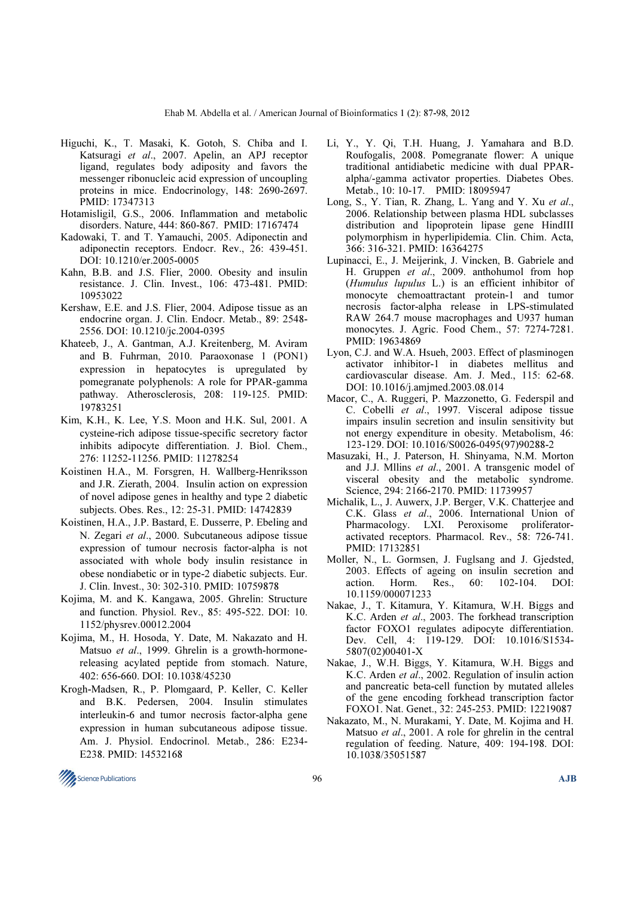- Higuchi, K., T. Masaki, K. Gotoh, S. Chiba and I. Katsuragi et al., 2007. Apelin, an APJ receptor ligand, regulates body adiposity and favors the messenger ribonucleic acid expression of uncoupling proteins in mice. Endocrinology, 148: 2690-2697. PMID: 17347313
- Hotamisligil, G.S., 2006. Inflammation and metabolic disorders. Nature, 444: 860-867. PMID: 17167474
- Kadowaki, T. and T. Yamauchi, 2005. Adiponectin and adiponectin receptors. Endocr. Rev., 26: 439-451. DOI: 10.1210/er.2005-0005
- Kahn, B.B. and J.S. Flier, 2000. Obesity and insulin resistance. J. Clin. Invest., 106: 473-481. PMID: 10953022
- Kershaw, E.E. and J.S. Flier, 2004. Adipose tissue as an endocrine organ. J. Clin. Endocr. Metab., 89: 2548- 2556. DOI: 10.1210/jc.2004-0395
- Khateeb, J., A. Gantman, A.J. Kreitenberg, M. Aviram and B. Fuhrman, 2010. Paraoxonase 1 (PON1) expression in hepatocytes is upregulated by pomegranate polyphenols: A role for PPAR-gamma pathway. Atherosclerosis, 208: 119-125. PMID: 19783251
- Kim, K.H., K. Lee, Y.S. Moon and H.K. Sul, 2001. A cysteine-rich adipose tissue-specific secretory factor inhibits adipocyte differentiation. J. Biol. Chem., 276: 11252-11256. PMID: 11278254
- Koistinen H.A., M. Forsgren, H. Wallberg-Henriksson and J.R. Zierath, 2004. Insulin action on expression of novel adipose genes in healthy and type 2 diabetic subjects. Obes. Res., 12: 25-31. PMID: 14742839
- Koistinen, H.A., J.P. Bastard, E. Dusserre, P. Ebeling and N. Zegari et al., 2000. Subcutaneous adipose tissue expression of tumour necrosis factor-alpha is not associated with whole body insulin resistance in obese nondiabetic or in type-2 diabetic subjects. Eur. J. Clin. Invest., 30: 302-310. PMID: 10759878
- Kojima, M. and K. Kangawa, 2005. Ghrelin: Structure and function. Physiol. Rev., 85: 495-522. DOI: 10. 1152/physrev.00012.2004
- Kojima, M., H. Hosoda, Y. Date, M. Nakazato and H. Matsuo et al., 1999. Ghrelin is a growth-hormonereleasing acylated peptide from stomach. Nature, 402: 656-660. DOI: 10.1038/45230
- Krogh-Madsen, R., P. Plomgaard, P. Keller, C. Keller and B.K. Pedersen, 2004. Insulin stimulates interleukin-6 and tumor necrosis factor-alpha gene expression in human subcutaneous adipose tissue. Am. J. Physiol. Endocrinol. Metab., 286: E234- E238. PMID: 14532168
- Li, Y., Y. Qi, T.H. Huang, J. Yamahara and B.D. Roufogalis, 2008. Pomegranate flower: A unique traditional antidiabetic medicine with dual PPARalpha/-gamma activator properties. Diabetes Obes. Metab., 10: 10-17. PMID: 18095947
- Long, S., Y. Tian, R. Zhang, L. Yang and Y. Xu et al., 2006. Relationship between plasma HDL subclasses distribution and lipoprotein lipase gene HindIII polymorphism in hyperlipidemia. Clin. Chim. Acta, 366: 316-321. PMID: 16364275
- Lupinacci, E., J. Meijerink, J. Vincken, B. Gabriele and H. Gruppen et al., 2009. anthohumol from hop (Humulus lupulus L.) is an efficient inhibitor of monocyte chemoattractant protein-1 and tumor necrosis factor-alpha release in LPS-stimulated RAW 264.7 mouse macrophages and U937 human monocytes. J. Agric. Food Chem., 57: 7274-7281. PMID: 19634869
- Lyon, C.J. and W.A. Hsueh, 2003. Effect of plasminogen activator inhibitor-1 in diabetes mellitus and cardiovascular disease. Am. J. Med., 115: 62-68. DOI: 10.1016/j.amjmed.2003.08.014
- Macor, C., A. Ruggeri, P. Mazzonetto, G. Federspil and C. Cobelli et al., 1997. Visceral adipose tissue impairs insulin secretion and insulin sensitivity but not energy expenditure in obesity. Metabolism, 46: 123-129. DOI: 10.1016/S0026-0495(97)90288-2
- Masuzaki, H., J. Paterson, H. Shinyama, N.M. Morton and J.J. Mllins et al., 2001. A transgenic model of visceral obesity and the metabolic syndrome. Science, 294: 2166-2170. PMID: 11739957
- Michalik, L., J. Auwerx, J.P. Berger, V.K. Chatterjee and C.K. Glass et al., 2006. International Union of Pharmacology. LXI. Peroxisome proliferatoractivated receptors. Pharmacol. Rev., 58: 726-741. PMID: 17132851
- Moller, N., L. Gormsen, J. Fuglsang and J. Gjedsted, 2003. Effects of ageing on insulin secretion and action. Horm. Res., 60: 102-104. DOI: 10.1159/000071233
- Nakae, J., T. Kitamura, Y. Kitamura, W.H. Biggs and K.C. Arden et al., 2003. The forkhead transcription factor FOXO1 regulates adipocyte differentiation. Dev. Cell, 4: 119-129. DOI: 10.1016/S1534- 5807(02)00401-X
- Nakae, J., W.H. Biggs, Y. Kitamura, W.H. Biggs and K.C. Arden et al., 2002. Regulation of insulin action and pancreatic beta-cell function by mutated alleles of the gene encoding forkhead transcription factor FOXO1. Nat. Genet., 32: 245-253. PMID: 12219087
- Nakazato, M., N. Murakami, Y. Date, M. Kojima and H. Matsuo et al., 2001. A role for ghrelin in the central regulation of feeding. Nature, 409: 194-198. DOI: 10.1038/35051587

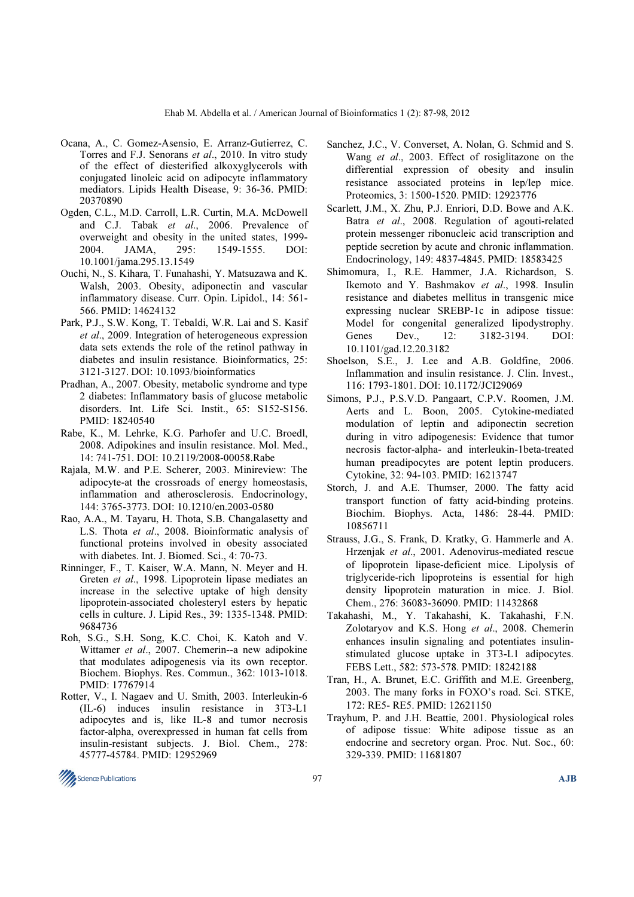- Ocana, A., C. Gomez-Asensio, E. Arranz-Gutierrez, C. Torres and F.J. Senorans et al., 2010. In vitro study of the effect of diesterified alkoxyglycerols with conjugated linoleic acid on adipocyte inflammatory mediators. Lipids Health Disease, 9: 36-36. PMID: 20370890
- Ogden, C.L., M.D. Carroll, L.R. Curtin, M.A. McDowell and C.J. Tabak et al., 2006. Prevalence of overweight and obesity in the united states, 1999- 2004. JAMA, 295: 1549-1555. DOI: 10.1001/jama.295.13.1549
- Ouchi, N., S. Kihara, T. Funahashi, Y. Matsuzawa and K. Walsh, 2003. Obesity, adiponectin and vascular inflammatory disease. Curr. Opin. Lipidol., 14: 561- 566. PMID: 14624132
- Park, P.J., S.W. Kong, T. Tebaldi, W.R. Lai and S. Kasif et al., 2009. Integration of heterogeneous expression data sets extends the role of the retinol pathway in diabetes and insulin resistance. Bioinformatics, 25: 3121-3127. DOI: 10.1093/bioinformatics
- Pradhan, A., 2007. Obesity, metabolic syndrome and type 2 diabetes: Inflammatory basis of glucose metabolic disorders. Int. Life Sci. Instit., 65: S152-S156. PMID: 18240540
- Rabe, K., M. Lehrke, K.G. Parhofer and U.C. Broedl, 2008. Adipokines and insulin resistance. Mol. Med., 14: 741-751. DOI: 10.2119/2008-00058.Rabe
- Rajala, M.W. and P.E. Scherer, 2003. Minireview: The adipocyte-at the crossroads of energy homeostasis, inflammation and atherosclerosis. Endocrinology, 144: 3765-3773. DOI: 10.1210/en.2003-0580
- Rao, A.A., M. Tayaru, H. Thota, S.B. Changalasetty and L.S. Thota et al., 2008. Bioinformatic analysis of functional proteins involved in obesity associated with diabetes. Int. J. Biomed. Sci., 4: 70-73.
- Rinninger, F., T. Kaiser, W.A. Mann, N. Meyer and H. Greten et al., 1998. Lipoprotein lipase mediates an increase in the selective uptake of high density lipoprotein-associated cholesteryl esters by hepatic cells in culture. J. Lipid Res., 39: 1335-1348. PMID: 9684736
- Roh, S.G., S.H. Song, K.C. Choi, K. Katoh and V. Wittamer et al., 2007. Chemerin--a new adipokine that modulates adipogenesis via its own receptor. Biochem. Biophys. Res. Commun., 362: 1013-1018. PMID: 17767914
- Rotter, V., I. Nagaev and U. Smith, 2003. Interleukin-6 (IL-6) induces insulin resistance in 3T3-L1 adipocytes and is, like IL-8 and tumor necrosis factor-alpha, overexpressed in human fat cells from insulin-resistant subjects. J. Biol. Chem., 278: 45777-45784. PMID: 12952969
- Sanchez, J.C., V. Converset, A. Nolan, G. Schmid and S. Wang et al., 2003. Effect of rosiglitazone on the differential expression of obesity and insulin resistance associated proteins in lep/lep mice. Proteomics, 3: 1500-1520. PMID: 12923776
- Scarlett, J.M., X. Zhu, P.J. Enriori, D.D. Bowe and A.K. Batra et al., 2008. Regulation of agouti-related protein messenger ribonucleic acid transcription and peptide secretion by acute and chronic inflammation. Endocrinology, 149: 4837-4845. PMID: 18583425
- Shimomura, I., R.E. Hammer, J.A. Richardson, S. Ikemoto and Y. Bashmakov et al., 1998. Insulin resistance and diabetes mellitus in transgenic mice expressing nuclear SREBP-1c in adipose tissue: Model for congenital generalized lipodystrophy. Genes Dev., 12: 3182-3194. DOI: 10.1101/gad.12.20.3182
- Shoelson, S.E., J. Lee and A.B. Goldfine, 2006. Inflammation and insulin resistance. J. Clin. Invest., 116: 1793-1801. DOI: 10.1172/JCI29069
- Simons, P.J., P.S.V.D. Pangaart, C.P.V. Roomen, J.M. Aerts and L. Boon, 2005. Cytokine-mediated modulation of leptin and adiponectin secretion during in vitro adipogenesis: Evidence that tumor necrosis factor-alpha- and interleukin-1beta-treated human preadipocytes are potent leptin producers. Cytokine, 32: 94-103. PMID: 16213747
- Storch, J. and A.E. Thumser, 2000. The fatty acid transport function of fatty acid-binding proteins. Biochim. Biophys. Acta, 1486: 28-44. PMID: 10856711
- Strauss, J.G., S. Frank, D. Kratky, G. Hammerle and A. Hrzenjak et al., 2001. Adenovirus-mediated rescue of lipoprotein lipase-deficient mice. Lipolysis of triglyceride-rich lipoproteins is essential for high density lipoprotein maturation in mice. J. Biol. Chem., 276: 36083-36090. PMID: 11432868
- Takahashi, M., Y. Takahashi, K. Takahashi, F.N. Zolotaryov and K.S. Hong et al., 2008. Chemerin enhances insulin signaling and potentiates insulinstimulated glucose uptake in 3T3-L1 adipocytes. FEBS Lett., 582: 573-578. PMID: 18242188
- Tran, H., A. Brunet, E.C. Griffith and M.E. Greenberg, 2003. The many forks in FOXO's road. Sci. STKE, 172: RE5- RE5. PMID: 12621150
- Trayhum, P. and J.H. Beattie, 2001. Physiological roles of adipose tissue: White adipose tissue as an endocrine and secretory organ. Proc. Nut. Soc., 60: 329-339. PMID: 11681807